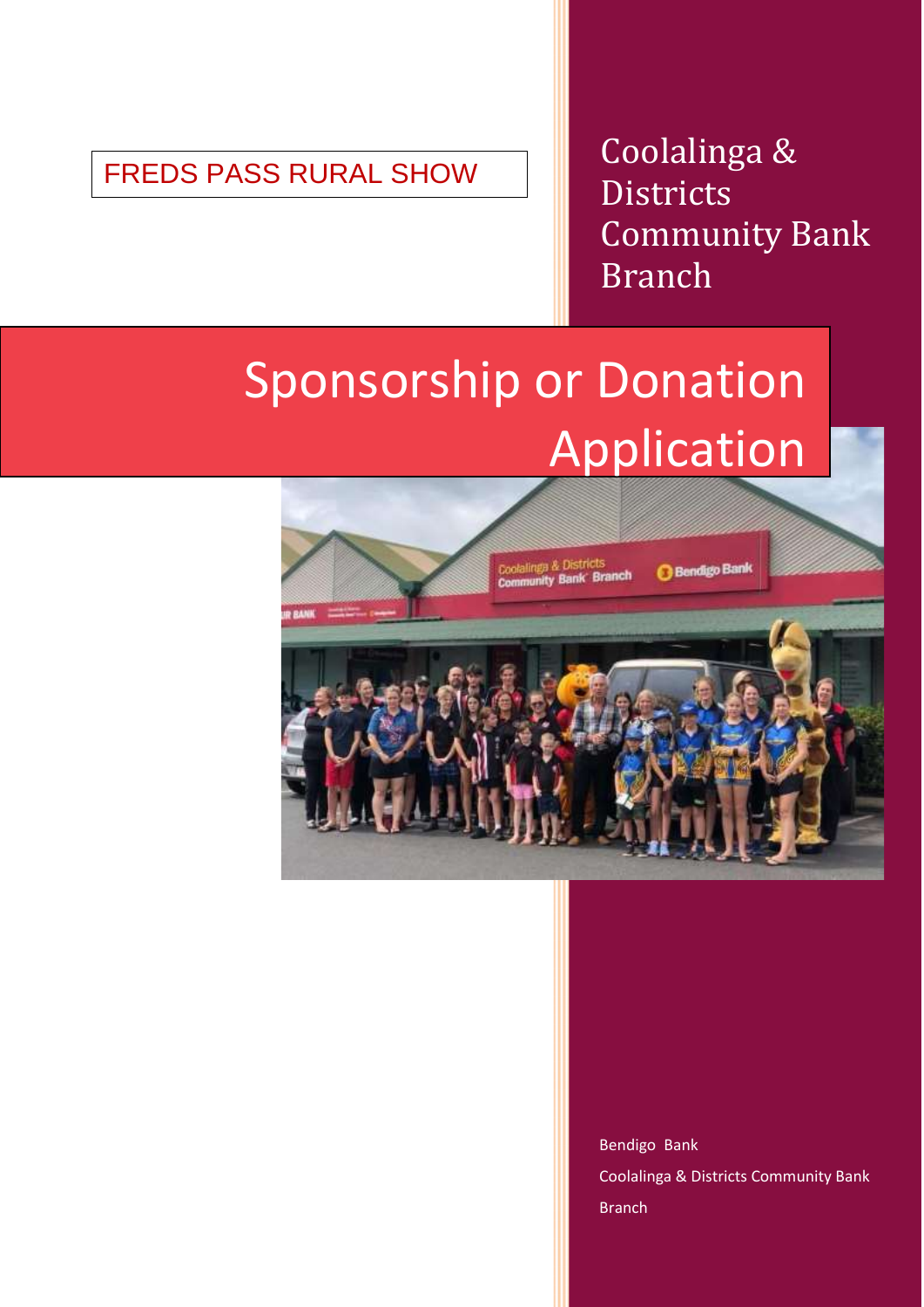FREDS PASS RURAL SHOW

Coolalinga & **Districts** Community Bank Branch

# Sponsorship or Donation Application



Bendigo Bank Coolalinga & Districts Community Bank Branch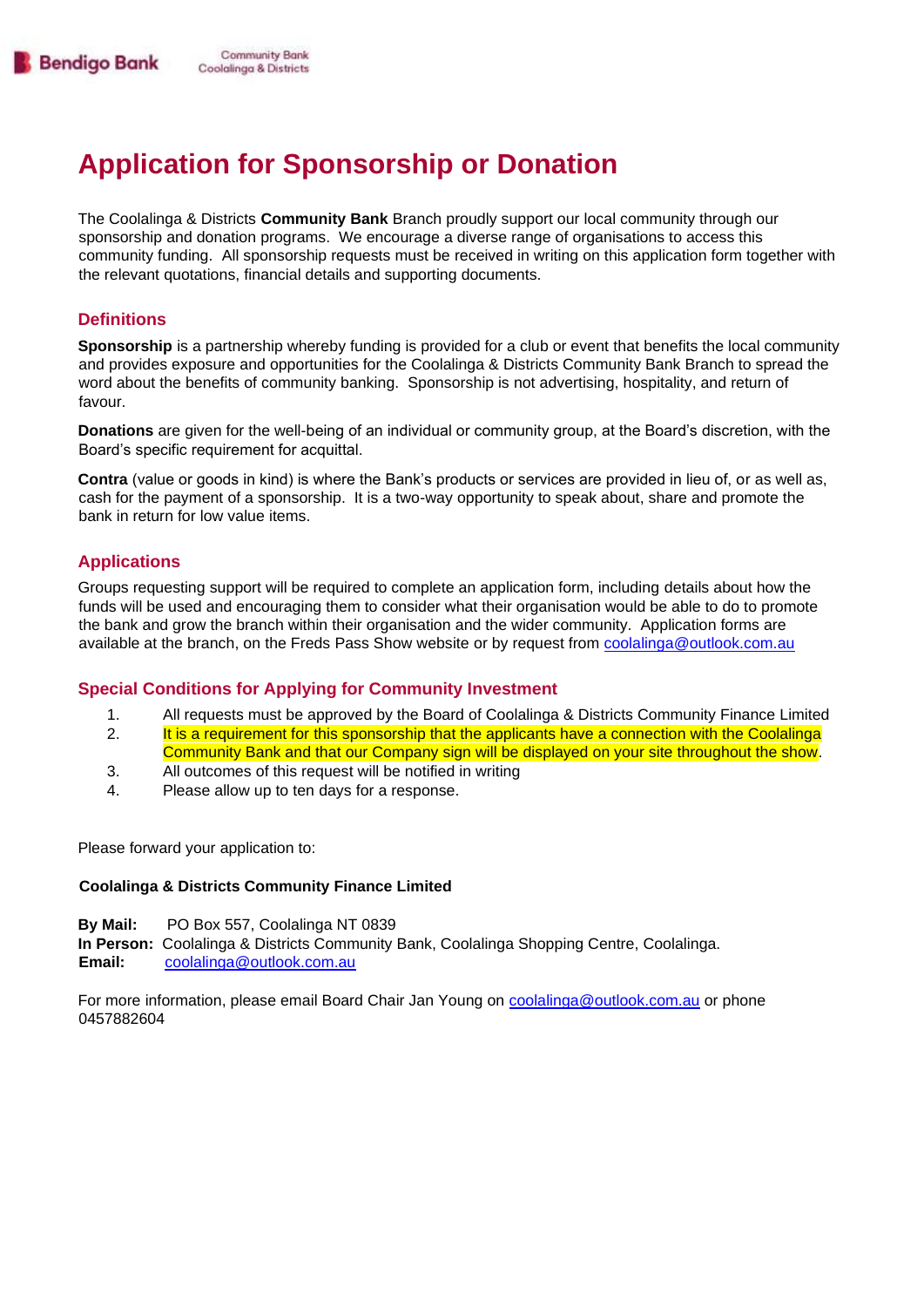## **Application for Sponsorship or Donation**

The Coolalinga & Districts **Community Bank** Branch proudly support our local community through our sponsorship and donation programs. We encourage a diverse range of organisations to access this community funding. All sponsorship requests must be received in writing on this application form together with the relevant quotations, financial details and supporting documents.

#### **Definitions**

**Sponsorship** is a partnership whereby funding is provided for a club or event that benefits the local community and provides exposure and opportunities for the Coolalinga & Districts Community Bank Branch to spread the word about the benefits of community banking. Sponsorship is not advertising, hospitality, and return of favour.

**Donations** are given for the well-being of an individual or community group, at the Board's discretion, with the Board's specific requirement for acquittal.

**Contra** (value or goods in kind) is where the Bank's products or services are provided in lieu of, or as well as, cash for the payment of a sponsorship. It is a two-way opportunity to speak about, share and promote the bank in return for low value items.

#### **Applications**

Groups requesting support will be required to complete an application form, including details about how the funds will be used and encouraging them to consider what their organisation would be able to do to promote the bank and grow the branch within their organisation and the wider community. Application forms are available at the branch, on the Freds Pass Show website or by request from coolalinga@outlook.com.au

#### **Special Conditions for Applying for Community Investment**

- 1. All requests must be approved by the Board of Coolalinga & Districts Community Finance Limited
- 2. It is a requirement for this sponsorship that the applicants have a connection with the Coolalinga
- Community Bank and that our Company sign will be displayed on your site throughout the show.
- 3. All outcomes of this request will be notified in writing
- 4. Please allow up to ten days for a response.

Please forward your application to:

#### **Coolalinga & Districts Community Finance Limited**

- **By Mail:** PO Box 557, Coolalinga NT 0839
- **In Person:** Coolalinga & Districts Community Bank, Coolalinga Shopping Centre, Coolalinga.
- **Email:** coolalinga@outlook.com.au

For more information, please email Board Chair Jan Young on coolalinga@outlook.com.au or phone 0457882604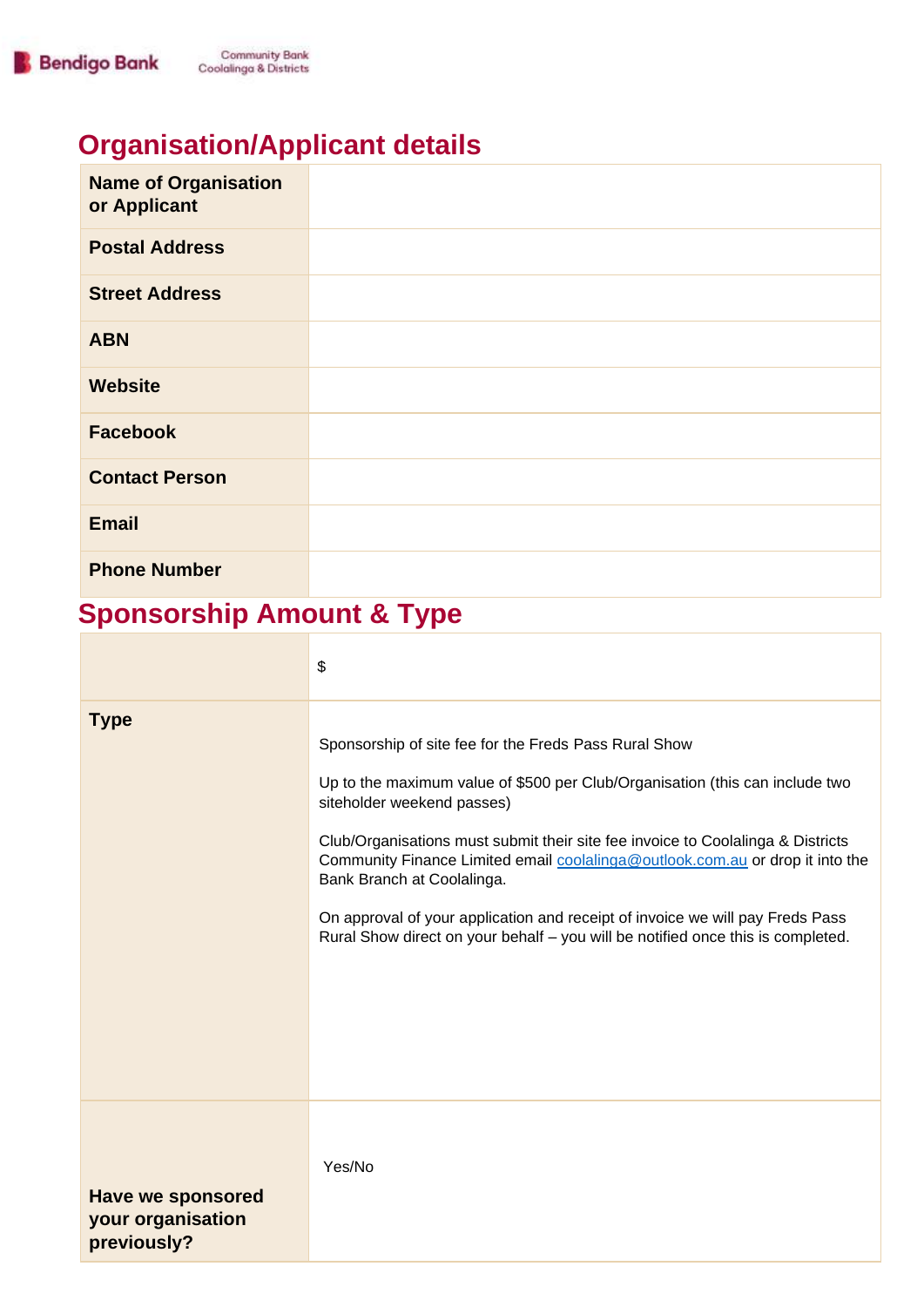# **Organisation/Applicant details**

| <b>Name of Organisation</b><br>or Applicant |  |
|---------------------------------------------|--|
| <b>Postal Address</b>                       |  |
| <b>Street Address</b>                       |  |
| <b>ABN</b>                                  |  |
| <b>Website</b>                              |  |
| <b>Facebook</b>                             |  |
| <b>Contact Person</b>                       |  |
| <b>Email</b>                                |  |
| <b>Phone Number</b>                         |  |

# **Sponsorship Amount & Type**

|                                                              | \$                                                                                                                                                                                                                                                                                                                                                                                                                                                                                                                                        |
|--------------------------------------------------------------|-------------------------------------------------------------------------------------------------------------------------------------------------------------------------------------------------------------------------------------------------------------------------------------------------------------------------------------------------------------------------------------------------------------------------------------------------------------------------------------------------------------------------------------------|
| <b>Type</b>                                                  | Sponsorship of site fee for the Freds Pass Rural Show<br>Up to the maximum value of \$500 per Club/Organisation (this can include two<br>siteholder weekend passes)<br>Club/Organisations must submit their site fee invoice to Coolalinga & Districts<br>Community Finance Limited email coolalinga@outlook.com.au or drop it into the<br>Bank Branch at Coolalinga.<br>On approval of your application and receipt of invoice we will pay Freds Pass<br>Rural Show direct on your behalf - you will be notified once this is completed. |
| <b>Have we sponsored</b><br>your organisation<br>previously? | Yes/No                                                                                                                                                                                                                                                                                                                                                                                                                                                                                                                                    |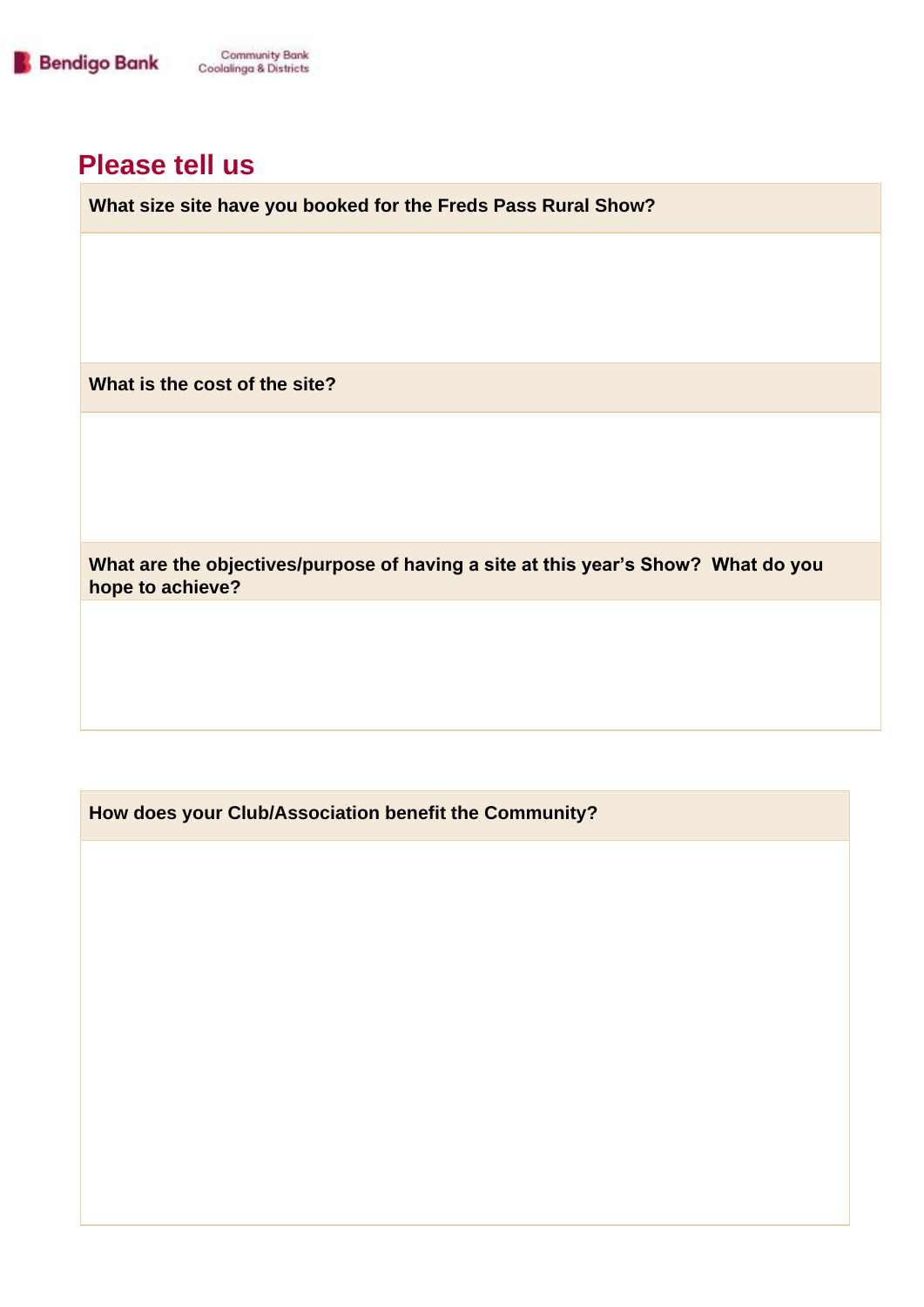

### **Please tell us**

**What size site have you booked for the Freds Pass Rural Show?**

**What is the cost of the site?**

**What are the objectives/purpose of having a site at this year's Show? What do you hope to achieve?**

**How does your Club/Association benefit the Community?**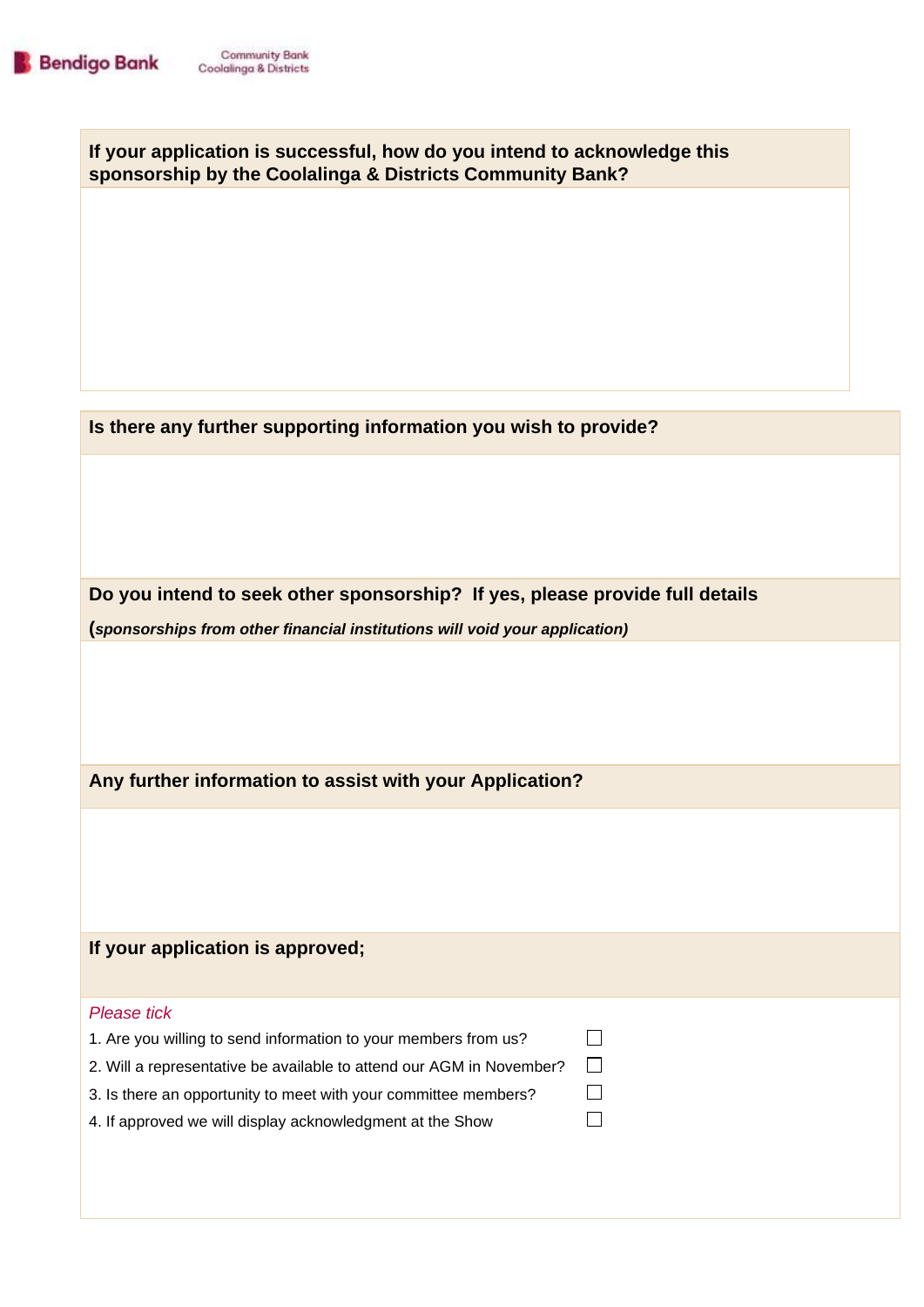**If your application is successful, how do you intend to acknowledge this sponsorship by the Coolalinga & Districts Community Bank?**

**Is there any further supporting information you wish to provide?**

**Do you intend to seek other sponsorship? If yes, please provide full details (***sponsorships from other financial institutions will void your application)* 

> $\Box$  $\Box$  $\Box$  $\Box$

**Any further information to assist with your Application?**

**If your application is approved;** 

| 1. Are you willing to send information to your members from us? |  |
|-----------------------------------------------------------------|--|
|-----------------------------------------------------------------|--|

2. Will a representative be available to attend our AGM in November?

3. Is there an opportunity to meet with your committee members?

|  |  |  | 4. If approved we will display acknowledgment at the Show |
|--|--|--|-----------------------------------------------------------|
|--|--|--|-----------------------------------------------------------|